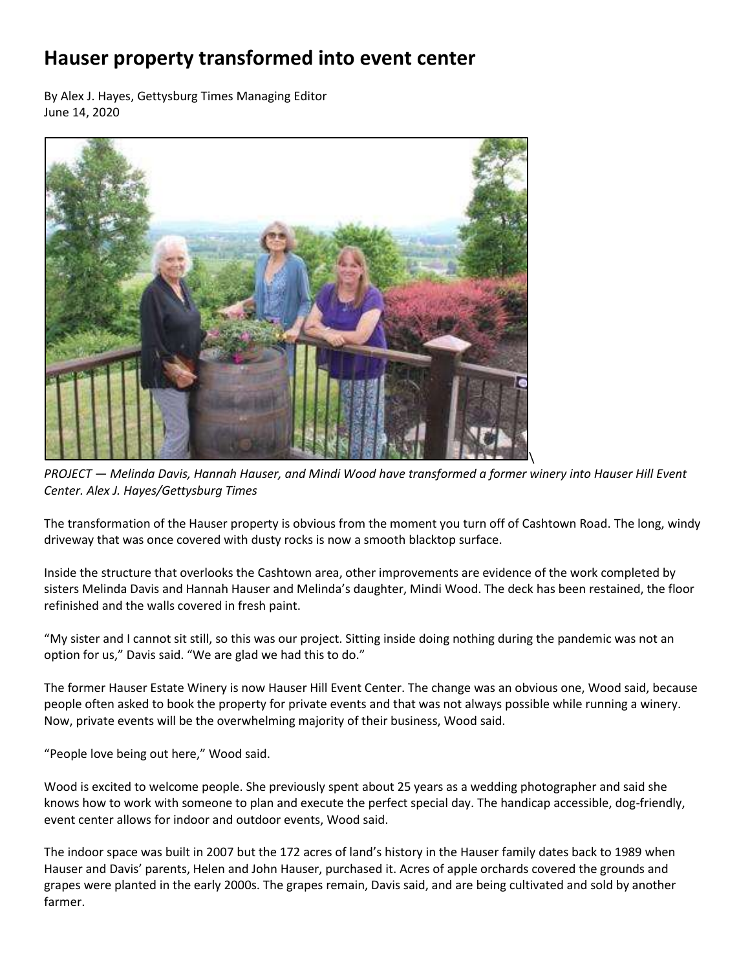## **Hauser property transformed into event center**

By Alex J. Hayes, Gettysburg Times Managing Editor June 14, 2020



*PROJECT — Melinda Davis, Hannah Hauser, and Mindi Wood have transformed a former winery into Hauser Hill Event Center. Alex J. Hayes/Gettysburg Times*

The transformation of the Hauser property is obvious from the moment you turn off of Cashtown Road. The long, windy driveway that was once covered with dusty rocks is now a smooth blacktop surface.

Inside the structure that overlooks the Cashtown area, other improvements are evidence of the work completed by sisters Melinda Davis and Hannah Hauser and Melinda's daughter, Mindi Wood. The deck has been restained, the floor refinished and the walls covered in fresh paint.

"My sister and I cannot sit still, so this was our project. Sitting inside doing nothing during the pandemic was not an option for us," Davis said. "We are glad we had this to do."

The former Hauser Estate Winery is now Hauser Hill Event Center. The change was an obvious one, Wood said, because people often asked to book the property for private events and that was not always possible while running a winery. Now, private events will be the overwhelming majority of their business, Wood said.

"People love being out here," Wood said.

Wood is excited to welcome people. She previously spent about 25 years as a wedding photographer and said she knows how to work with someone to plan and execute the perfect special day. The handicap accessible, dog-friendly, event center allows for indoor and outdoor events, Wood said.

The indoor space was built in 2007 but the 172 acres of land's history in the Hauser family dates back to 1989 when Hauser and Davis' parents, Helen and John Hauser, purchased it. Acres of apple orchards covered the grounds and grapes were planted in the early 2000s. The grapes remain, Davis said, and are being cultivated and sold by another farmer.